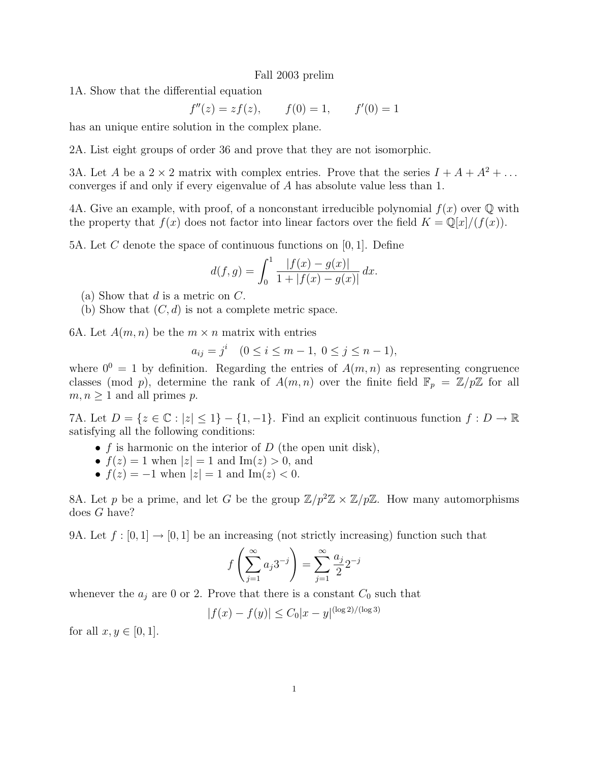## Fall 2003 prelim

1A. Show that the differential equation

$$
f''(z) = zf(z),
$$
  $f(0) = 1,$   $f'(0) = 1$ 

has an unique entire solution in the complex plane.

2A. List eight groups of order 36 and prove that they are not isomorphic.

3A. Let A be a  $2 \times 2$  matrix with complex entries. Prove that the series  $I + A + A^2 + \ldots$ converges if and only if every eigenvalue of A has absolute value less than 1.

4A. Give an example, with proof, of a nonconstant irreducible polynomial  $f(x)$  over  $\mathbb Q$  with the property that  $f(x)$  does not factor into linear factors over the field  $K = \mathbb{Q}[x]/(f(x))$ .

5A. Let C denote the space of continuous functions on  $[0, 1]$ . Define

$$
d(f,g) = \int_0^1 \frac{|f(x) - g(x)|}{1 + |f(x) - g(x)|} dx.
$$

- (a) Show that  $d$  is a metric on  $C$ .
- (b) Show that  $(C, d)$  is not a complete metric space.

6A. Let  $A(m, n)$  be the  $m \times n$  matrix with entries

$$
a_{ij} = j^i \quad (0 \le i \le m-1, \ 0 \le j \le n-1),
$$

where  $0^0 = 1$  by definition. Regarding the entries of  $A(m, n)$  as representing congruence classes (mod p), determine the rank of  $A(m, n)$  over the finite field  $\mathbb{F}_p = \mathbb{Z}/p\mathbb{Z}$  for all  $m, n \geq 1$  and all primes p.

7A. Let  $D = \{z \in \mathbb{C} : |z| \leq 1\} - \{1, -1\}$ . Find an explicit continuous function  $f : D \to \mathbb{R}$ satisfying all the following conditions:

- f is harmonic on the interior of  $D$  (the open unit disk),
- $f(z) = 1$  when  $|z| = 1$  and  $\text{Im}(z) > 0$ , and
- $f(z) = -1$  when  $|z| = 1$  and  $\text{Im}(z) < 0$ .

8A. Let p be a prime, and let G be the group  $\mathbb{Z}/p^2\mathbb{Z} \times \mathbb{Z}/p\mathbb{Z}$ . How many automorphisms does G have?

9A. Let  $f : [0,1] \to [0,1]$  be an increasing (not strictly increasing) function such that

$$
f\left(\sum_{j=1}^{\infty} a_j 3^{-j}\right) = \sum_{j=1}^{\infty} \frac{a_j}{2} 2^{-j}
$$

whenever the  $a_j$  are 0 or 2. Prove that there is a constant  $C_0$  such that

$$
|f(x) - f(y)| \le C_0 |x - y|^{(\log 2)/(\log 3)}
$$

for all  $x, y \in [0, 1]$ .